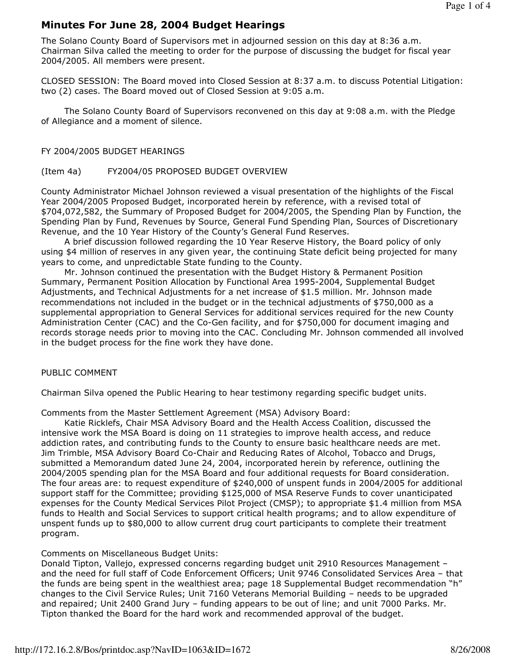# Minutes For June 28, 2004 Budget Hearings

The Solano County Board of Supervisors met in adjourned session on this day at 8:36 a.m. Chairman Silva called the meeting to order for the purpose of discussing the budget for fiscal year 2004/2005. All members were present.

CLOSED SESSION: The Board moved into Closed Session at 8:37 a.m. to discuss Potential Litigation: two (2) cases. The Board moved out of Closed Session at 9:05 a.m.

 The Solano County Board of Supervisors reconvened on this day at 9:08 a.m. with the Pledge of Allegiance and a moment of silence.

#### FY 2004/2005 BUDGET HEARINGS

#### (Item 4a) FY2004/05 PROPOSED BUDGET OVERVIEW

County Administrator Michael Johnson reviewed a visual presentation of the highlights of the Fiscal Year 2004/2005 Proposed Budget, incorporated herein by reference, with a revised total of \$704,072,582, the Summary of Proposed Budget for 2004/2005, the Spending Plan by Function, the Spending Plan by Fund, Revenues by Source, General Fund Spending Plan, Sources of Discretionary Revenue, and the 10 Year History of the County's General Fund Reserves.

 A brief discussion followed regarding the 10 Year Reserve History, the Board policy of only using \$4 million of reserves in any given year, the continuing State deficit being projected for many years to come, and unpredictable State funding to the County.

 Mr. Johnson continued the presentation with the Budget History & Permanent Position Summary, Permanent Position Allocation by Functional Area 1995-2004, Supplemental Budget Adjustments, and Technical Adjustments for a net increase of \$1.5 million. Mr. Johnson made recommendations not included in the budget or in the technical adjustments of \$750,000 as a supplemental appropriation to General Services for additional services required for the new County Administration Center (CAC) and the Co-Gen facility, and for \$750,000 for document imaging and records storage needs prior to moving into the CAC. Concluding Mr. Johnson commended all involved in the budget process for the fine work they have done.

### PUBLIC COMMENT

Chairman Silva opened the Public Hearing to hear testimony regarding specific budget units.

Comments from the Master Settlement Agreement (MSA) Advisory Board:

 Katie Ricklefs, Chair MSA Advisory Board and the Health Access Coalition, discussed the intensive work the MSA Board is doing on 11 strategies to improve health access, and reduce addiction rates, and contributing funds to the County to ensure basic healthcare needs are met. Jim Trimble, MSA Advisory Board Co-Chair and Reducing Rates of Alcohol, Tobacco and Drugs, submitted a Memorandum dated June 24, 2004, incorporated herein by reference, outlining the 2004/2005 spending plan for the MSA Board and four additional requests for Board consideration. The four areas are: to request expenditure of \$240,000 of unspent funds in 2004/2005 for additional support staff for the Committee; providing \$125,000 of MSA Reserve Funds to cover unanticipated expenses for the County Medical Services Pilot Project (CMSP); to appropriate \$1.4 million from MSA funds to Health and Social Services to support critical health programs; and to allow expenditure of unspent funds up to \$80,000 to allow current drug court participants to complete their treatment program.

### Comments on Miscellaneous Budget Units:

Donald Tipton, Vallejo, expressed concerns regarding budget unit 2910 Resources Management – and the need for full staff of Code Enforcement Officers; Unit 9746 Consolidated Services Area – that the funds are being spent in the wealthiest area; page 18 Supplemental Budget recommendation "h" changes to the Civil Service Rules; Unit 7160 Veterans Memorial Building – needs to be upgraded and repaired; Unit 2400 Grand Jury – funding appears to be out of line; and unit 7000 Parks. Mr. Tipton thanked the Board for the hard work and recommended approval of the budget.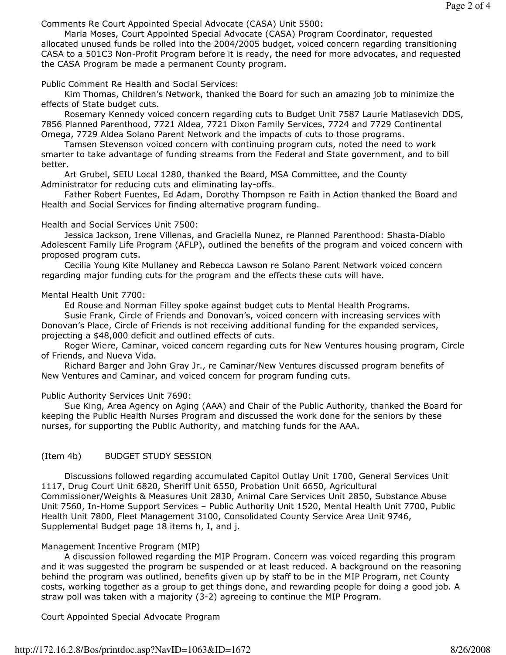Comments Re Court Appointed Special Advocate (CASA) Unit 5500:

 Maria Moses, Court Appointed Special Advocate (CASA) Program Coordinator, requested allocated unused funds be rolled into the 2004/2005 budget, voiced concern regarding transitioning CASA to a 501C3 Non-Profit Program before it is ready, the need for more advocates, and requested the CASA Program be made a permanent County program.

Public Comment Re Health and Social Services:

 Kim Thomas, Children's Network, thanked the Board for such an amazing job to minimize the effects of State budget cuts.

 Rosemary Kennedy voiced concern regarding cuts to Budget Unit 7587 Laurie Matiasevich DDS, 7856 Planned Parenthood, 7721 Aldea, 7721 Dixon Family Services, 7724 and 7729 Continental Omega, 7729 Aldea Solano Parent Network and the impacts of cuts to those programs.

 Tamsen Stevenson voiced concern with continuing program cuts, noted the need to work smarter to take advantage of funding streams from the Federal and State government, and to bill better.

 Art Grubel, SEIU Local 1280, thanked the Board, MSA Committee, and the County Administrator for reducing cuts and eliminating lay-offs.

 Father Robert Fuentes, Ed Adam, Dorothy Thompson re Faith in Action thanked the Board and Health and Social Services for finding alternative program funding.

Health and Social Services Unit 7500:

 Jessica Jackson, Irene Villenas, and Graciella Nunez, re Planned Parenthood: Shasta-Diablo Adolescent Family Life Program (AFLP), outlined the benefits of the program and voiced concern with proposed program cuts.

 Cecilia Young Kite Mullaney and Rebecca Lawson re Solano Parent Network voiced concern regarding major funding cuts for the program and the effects these cuts will have.

## Mental Health Unit 7700:

Ed Rouse and Norman Filley spoke against budget cuts to Mental Health Programs.

 Susie Frank, Circle of Friends and Donovan's, voiced concern with increasing services with Donovan's Place, Circle of Friends is not receiving additional funding for the expanded services, projecting a \$48,000 deficit and outlined effects of cuts.

 Roger Wiere, Caminar, voiced concern regarding cuts for New Ventures housing program, Circle of Friends, and Nueva Vida.

 Richard Barger and John Gray Jr., re Caminar/New Ventures discussed program benefits of New Ventures and Caminar, and voiced concern for program funding cuts.

## Public Authority Services Unit 7690:

 Sue King, Area Agency on Aging (AAA) and Chair of the Public Authority, thanked the Board for keeping the Public Health Nurses Program and discussed the work done for the seniors by these nurses, for supporting the Public Authority, and matching funds for the AAA.

## (Item 4b) BUDGET STUDY SESSION

 Discussions followed regarding accumulated Capitol Outlay Unit 1700, General Services Unit 1117, Drug Court Unit 6820, Sheriff Unit 6550, Probation Unit 6650, Agricultural Commissioner/Weights & Measures Unit 2830, Animal Care Services Unit 2850, Substance Abuse Unit 7560, In-Home Support Services – Public Authority Unit 1520, Mental Health Unit 7700, Public Health Unit 7800, Fleet Management 3100, Consolidated County Service Area Unit 9746, Supplemental Budget page 18 items h, I, and j.

## Management Incentive Program (MIP)

 A discussion followed regarding the MIP Program. Concern was voiced regarding this program and it was suggested the program be suspended or at least reduced. A background on the reasoning behind the program was outlined, benefits given up by staff to be in the MIP Program, net County costs, working together as a group to get things done, and rewarding people for doing a good job. A straw poll was taken with a majority (3-2) agreeing to continue the MIP Program.

Court Appointed Special Advocate Program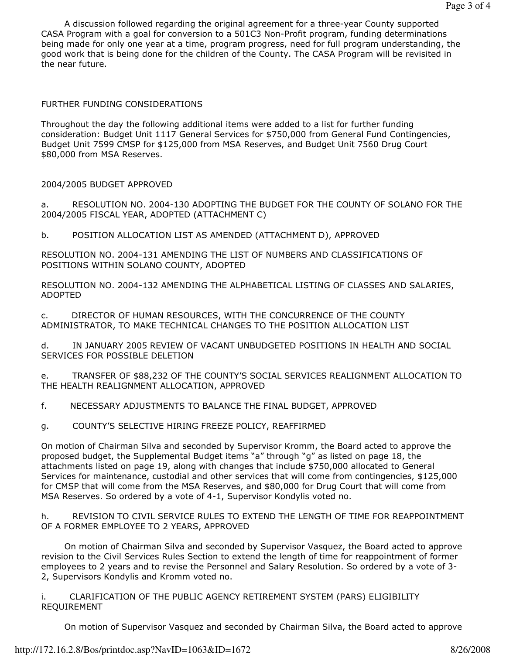A discussion followed regarding the original agreement for a three-year County supported CASA Program with a goal for conversion to a 501C3 Non-Profit program, funding determinations being made for only one year at a time, program progress, need for full program understanding, the good work that is being done for the children of the County. The CASA Program will be revisited in the near future.

#### FURTHER FUNDING CONSIDERATIONS

Throughout the day the following additional items were added to a list for further funding consideration: Budget Unit 1117 General Services for \$750,000 from General Fund Contingencies, Budget Unit 7599 CMSP for \$125,000 from MSA Reserves, and Budget Unit 7560 Drug Court \$80,000 from MSA Reserves.

#### 2004/2005 BUDGET APPROVED

a. RESOLUTION NO. 2004-130 ADOPTING THE BUDGET FOR THE COUNTY OF SOLANO FOR THE 2004/2005 FISCAL YEAR, ADOPTED (ATTACHMENT C)

b. POSITION ALLOCATION LIST AS AMENDED (ATTACHMENT D), APPROVED

RESOLUTION NO. 2004-131 AMENDING THE LIST OF NUMBERS AND CLASSIFICATIONS OF POSITIONS WITHIN SOLANO COUNTY, ADOPTED

RESOLUTION NO. 2004-132 AMENDING THE ALPHABETICAL LISTING OF CLASSES AND SALARIES, ADOPTED

c. DIRECTOR OF HUMAN RESOURCES, WITH THE CONCURRENCE OF THE COUNTY ADMINISTRATOR, TO MAKE TECHNICAL CHANGES TO THE POSITION ALLOCATION LIST

d. IN JANUARY 2005 REVIEW OF VACANT UNBUDGETED POSITIONS IN HEALTH AND SOCIAL SERVICES FOR POSSIBLE DELETION

e. TRANSFER OF \$88,232 OF THE COUNTY'S SOCIAL SERVICES REALIGNMENT ALLOCATION TO THE HEALTH REALIGNMENT ALLOCATION, APPROVED

f. NECESSARY ADJUSTMENTS TO BALANCE THE FINAL BUDGET, APPROVED

g. COUNTY'S SELECTIVE HIRING FREEZE POLICY, REAFFIRMED

On motion of Chairman Silva and seconded by Supervisor Kromm, the Board acted to approve the proposed budget, the Supplemental Budget items "a" through "g" as listed on page 18, the attachments listed on page 19, along with changes that include \$750,000 allocated to General Services for maintenance, custodial and other services that will come from contingencies, \$125,000 for CMSP that will come from the MSA Reserves, and \$80,000 for Drug Court that will come from MSA Reserves. So ordered by a vote of 4-1, Supervisor Kondylis voted no.

h. REVISION TO CIVIL SERVICE RULES TO EXTEND THE LENGTH OF TIME FOR REAPPOINTMENT OF A FORMER EMPLOYEE TO 2 YEARS, APPROVED

 On motion of Chairman Silva and seconded by Supervisor Vasquez, the Board acted to approve revision to the Civil Services Rules Section to extend the length of time for reappointment of former employees to 2 years and to revise the Personnel and Salary Resolution. So ordered by a vote of 3- 2, Supervisors Kondylis and Kromm voted no.

i. CLARIFICATION OF THE PUBLIC AGENCY RETIREMENT SYSTEM (PARS) ELIGIBILITY REQUIREMENT

On motion of Supervisor Vasquez and seconded by Chairman Silva, the Board acted to approve